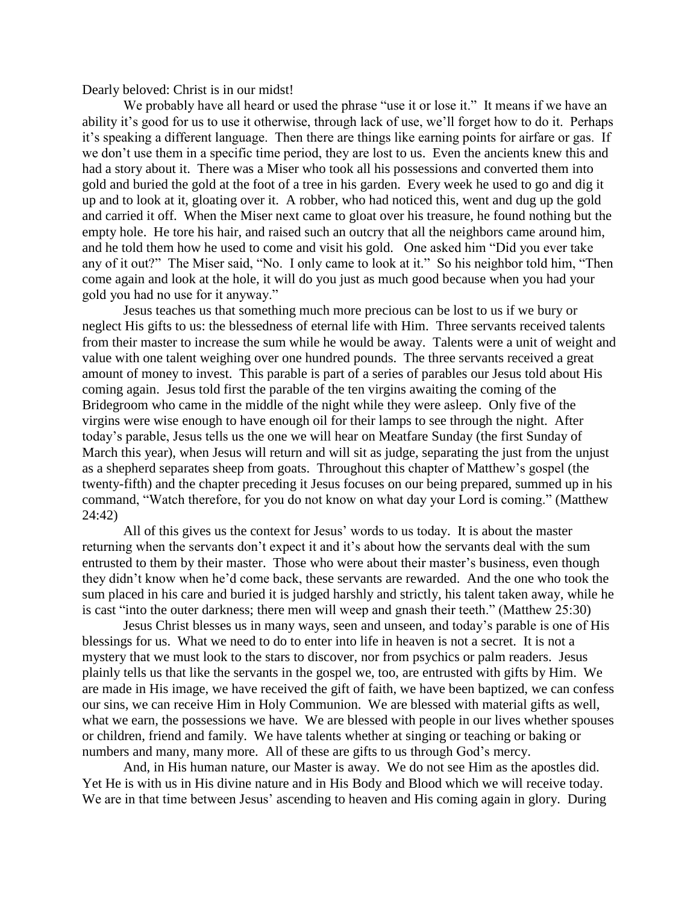Dearly beloved: Christ is in our midst!

We probably have all heard or used the phrase "use it or lose it." It means if we have an ability it's good for us to use it otherwise, through lack of use, we'll forget how to do it. Perhaps it's speaking a different language. Then there are things like earning points for airfare or gas. If we don't use them in a specific time period, they are lost to us. Even the ancients knew this and had a story about it. There was a Miser who took all his possessions and converted them into gold and buried the gold at the foot of a tree in his garden. Every week he used to go and dig it up and to look at it, gloating over it. A robber, who had noticed this, went and dug up the gold and carried it off. When the Miser next came to gloat over his treasure, he found nothing but the empty hole. He tore his hair, and raised such an outcry that all the neighbors came around him, and he told them how he used to come and visit his gold. One asked him "Did you ever take any of it out?" The Miser said, "No. I only came to look at it." So his neighbor told him, "Then come again and look at the hole, it will do you just as much good because when you had your gold you had no use for it anyway."

Jesus teaches us that something much more precious can be lost to us if we bury or neglect His gifts to us: the blessedness of eternal life with Him. Three servants received talents from their master to increase the sum while he would be away. Talents were a unit of weight and value with one talent weighing over one hundred pounds. The three servants received a great amount of money to invest. This parable is part of a series of parables our Jesus told about His coming again. Jesus told first the parable of the ten virgins awaiting the coming of the Bridegroom who came in the middle of the night while they were asleep. Only five of the virgins were wise enough to have enough oil for their lamps to see through the night. After today's parable, Jesus tells us the one we will hear on Meatfare Sunday (the first Sunday of March this year), when Jesus will return and will sit as judge, separating the just from the unjust as a shepherd separates sheep from goats. Throughout this chapter of Matthew's gospel (the twenty-fifth) and the chapter preceding it Jesus focuses on our being prepared, summed up in his command, "Watch therefore, for you do not know on what day your Lord is coming." (Matthew 24:42)

All of this gives us the context for Jesus' words to us today. It is about the master returning when the servants don't expect it and it's about how the servants deal with the sum entrusted to them by their master. Those who were about their master's business, even though they didn't know when he'd come back, these servants are rewarded. And the one who took the sum placed in his care and buried it is judged harshly and strictly, his talent taken away, while he is cast "into the outer darkness; there men will weep and gnash their teeth." (Matthew 25:30)

Jesus Christ blesses us in many ways, seen and unseen, and today's parable is one of His blessings for us. What we need to do to enter into life in heaven is not a secret. It is not a mystery that we must look to the stars to discover, nor from psychics or palm readers. Jesus plainly tells us that like the servants in the gospel we, too, are entrusted with gifts by Him. We are made in His image, we have received the gift of faith, we have been baptized, we can confess our sins, we can receive Him in Holy Communion. We are blessed with material gifts as well, what we earn, the possessions we have. We are blessed with people in our lives whether spouses or children, friend and family. We have talents whether at singing or teaching or baking or numbers and many, many more. All of these are gifts to us through God's mercy.

And, in His human nature, our Master is away. We do not see Him as the apostles did. Yet He is with us in His divine nature and in His Body and Blood which we will receive today. We are in that time between Jesus' ascending to heaven and His coming again in glory. During